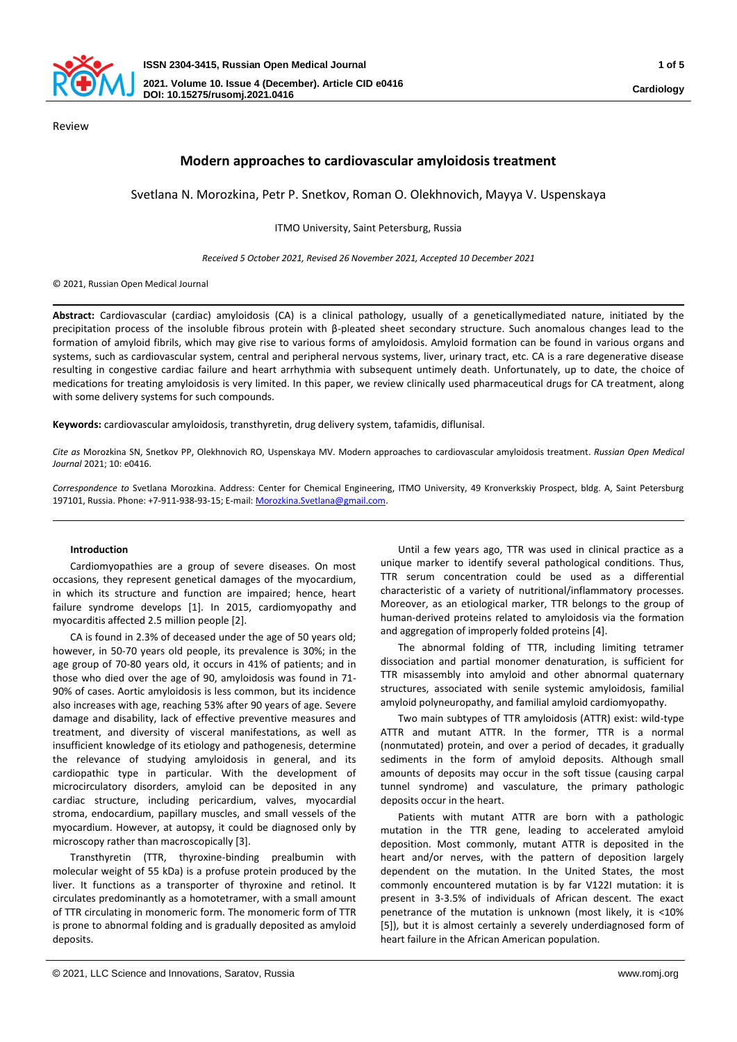

# **Modern approaches to cardiovascular amyloidosis treatment**

Svetlana N. Morozkina, Petr P. Snetkov, Roman O. Olekhnovich, Mayya V. Uspenskaya

ITMO University, Saint Petersburg, Russia

*Received 5 October 2021, Revised 26 November 2021, Accepted 10 December 2021*

© 2021, Russian Open Medical Journal

**Abstract:** Cardiovascular (cardiac) amyloidosis (CA) is a clinical pathology, usually of a geneticallymediated nature, initiated by the precipitation process of the insoluble fibrous protein with β-pleated sheet secondary structure. Such anomalous changes lead to the formation of amyloid fibrils, which may give rise to various forms of amyloidosis. Amyloid formation can be found in various organs and systems, such as cardiovascular system, central and peripheral nervous systems, liver, urinary tract, etc. CA is a rare degenerative disease resulting in congestive cardiac failure and heart arrhythmia with subsequent untimely death. Unfortunately, up to date, the choice of medications for treating amyloidosis is very limited. In this paper, we review clinically used pharmaceutical drugs for CA treatment, along with some delivery systems for such compounds.

**Keywords:** cardiovascular amyloidosis, transthyretin, drug delivery system, tafamidis, diflunisal.

*Cite as* Morozkina SN, Snetkov PP, Olekhnovich RO, Uspenskaya MV. Modern approaches to cardiovascular amyloidosis treatment. *Russian Open Medical Journal* 2021; 10: e0416.

*Correspondence to* Svetlana Morozkina. Address: Center for Chemical Engineering, ITMO University, 49 Kronverkskiy Prospect, bldg. A, Saint Petersburg 197101, Russia. Phone: +7-911-938-93-15; E-mail[: Morozkina.Svetlana@gmail.com.](mailto:Morozkina.Svetlana@gmail.com)

### **Introduction**

Cardiomyopathies are a group of severe diseases. On most occasions, they represent genetical damages of the myocardium, in which its structure and function are impaired; hence, heart failure syndrome develops [1]. In 2015, cardiomyopathy and myocarditis affected 2.5 million people [2].

CA is found in 2.3% of deceased under the age of 50 years old; however, in 50-70 years old people, its prevalence is 30%; in the age group of 70-80 years old, it occurs in 41% of patients; and in those who died over the age of 90, amyloidosis was found in 71- 90% of cases. Aortic amyloidosis is less common, but its incidence also increases with age, reaching 53% after 90 years of age. Severe damage and disability, lack of effective preventive measures and treatment, and diversity of visceral manifestations, as well as insufficient knowledge of its etiology and pathogenesis, determine the relevance of studying amyloidosis in general, and its cardiopathic type in particular. With the development of microcirculatory disorders, amyloid can be deposited in any cardiac structure, including pericardium, valves, myocardial stroma, endocardium, papillary muscles, and small vessels of the myocardium. However, at autopsy, it could be diagnosed only by microscopy rather than macroscopically [3].

Transthyretin (TTR, thyroxine-binding prealbumin with molecular weight of 55 kDa) is a profuse protein produced by the liver. It functions as a transporter of thyroxine and retinol. It circulates predominantly as a homotetramer, with a small amount of TTR circulating in monomeric form. The monomeric form of TTR is prone to abnormal folding and is gradually deposited as amyloid deposits.

Until a few years ago, TTR was used in clinical practice as a unique marker to identify several pathological conditions. Thus, TTR serum concentration could be used as a differential characteristic of a variety of nutritional/inflammatory processes. Moreover, as an etiological marker, TTR belongs to the group of human-derived proteins related to amyloidosis via the formation and aggregation of improperly folded proteins [4].

The abnormal folding of TTR, including limiting tetramer dissociation and partial monomer denaturation, is sufficient for TTR misassembly into amyloid and other abnormal quaternary structures, associated with senile systemic amyloidosis, familial amyloid polyneuropathy, and familial amyloid cardiomyopathy.

Two main subtypes of TTR amyloidosis (ATTR) exist: wild-type ATTR and mutant ATTR. In the former, TTR is a normal (nonmutated) protein, and over a period of decades, it gradually sediments in the form of amyloid deposits. Although small amounts of deposits may occur in the soft tissue (causing carpal tunnel syndrome) and vasculature, the primary pathologic deposits occur in the heart.

Patients with mutant ATTR are born with a pathologic mutation in the TTR gene, leading to accelerated amyloid deposition. Most commonly, mutant ATTR is deposited in the heart and/or nerves, with the pattern of deposition largely dependent on the mutation. In the United States, the most commonly encountered mutation is by far V122I mutation: it is present in 3-3.5% of individuals of African descent. The exact penetrance of the mutation is unknown (most likely, it is <10% [5]), but it is almost certainly a severely underdiagnosed form of heart failure in the African American population.

<sup>©</sup> 2021, LLC Science and Innovations, Saratov, Russia www.romj.org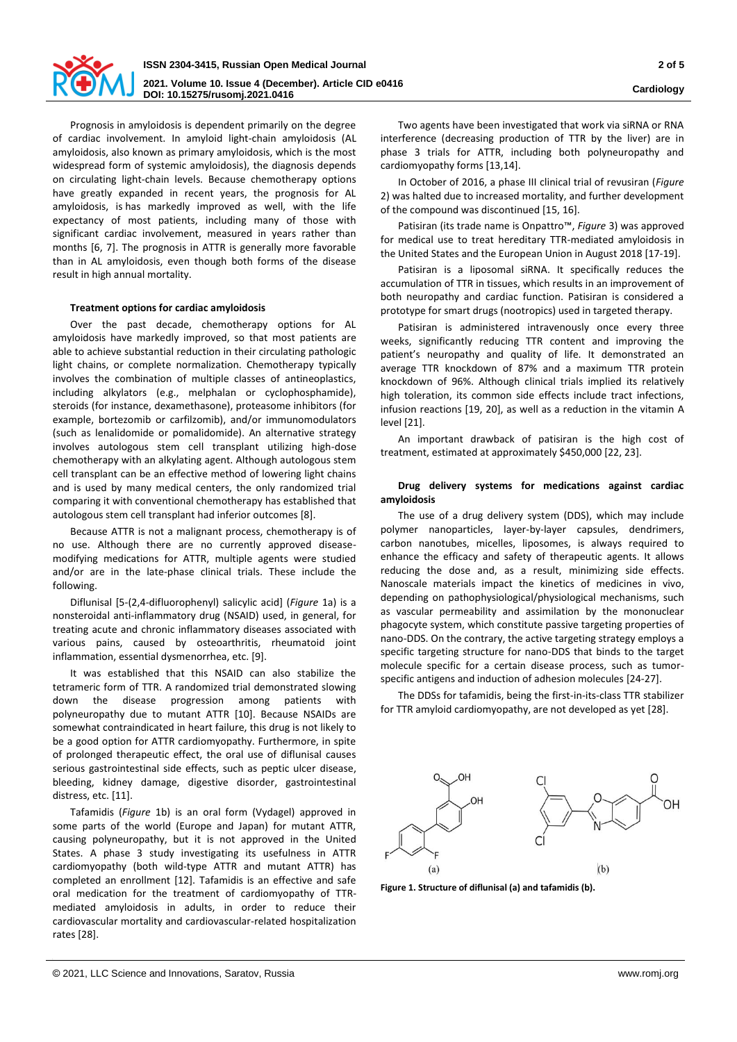

Prognosis in amyloidosis is dependent primarily on the degree of cardiac involvement. In amyloid light-chain amyloidosis (AL amyloidosis, also known as primary amyloidosis, which is the most widespread form of systemic amyloidosis), the diagnosis depends on circulating light-chain levels. Because chemotherapy options have greatly expanded in recent years, the prognosis for AL amyloidosis, is has markedly improved as well, with the life expectancy of most patients, including many of those with significant cardiac involvement, measured in years rather than months [6, 7]. The prognosis in ATTR is generally more favorable than in AL amyloidosis, even though both forms of the disease result in high annual mortality.

### **Treatment options for cardiac amyloidosis**

Over the past decade, chemotherapy options for AL amyloidosis have markedly improved, so that most patients are able to achieve substantial reduction in their circulating pathologic light chains, or complete normalization. Chemotherapy typically involves the combination of multiple classes of antineoplastics, including alkylators (e.g., melphalan or cyclophosphamide), steroids (for instance, dexamethasone), proteasome inhibitors (for example, bortezomib or carfilzomib), and/or immunomodulators (such as lenalidomide or pomalidomide). An alternative strategy involves autologous stem cell transplant utilizing high-dose chemotherapy with an alkylating agent. Although autologous stem cell transplant can be an effective method of lowering light chains and is used by many medical centers, the only randomized trial comparing it with conventional chemotherapy has established that autologous stem cell transplant had inferior outcomes [8].

Because ATTR is not a malignant process, chemotherapy is of no use. Although there are no currently approved diseasemodifying medications for ATTR, multiple agents were studied and/or are in the late-phase clinical trials. These include the following.

Diflunisal [5-(2,4-difluorophenyl) salicylic acid] (*Figure* 1a) is a nonsteroidal anti-inflammatory drug (NSAID) used, in general, for treating acute and chronic inflammatory diseases associated with various pains, caused by osteoarthritis, rheumatoid joint inflammation, essential dysmenorrhea, etc. [9].

It was established that this NSAID can also stabilize the tetrameric form of TTR. A randomized trial demonstrated slowing down the disease progression among patients with polyneuropathy due to mutant ATTR [10]. Because NSAIDs are somewhat contraindicated in heart failure, this drug is not likely to be a good option for ATTR cardiomyopathy. Furthermore, in spite of prolonged therapeutic effect, the oral use of diflunisal causes serious gastrointestinal side effects, such as peptic ulcer disease, bleeding, kidney damage, digestive disorder, gastrointestinal distress, etc. [11].

Tafamidis (*Figure* 1b) is an oral form (Vydagel) approved in some parts of the world (Europe and Japan) for mutant ATTR, causing polyneuropathy, but it is not approved in the United States. A phase 3 study investigating its usefulness in ATTR cardiomyopathy (both wild-type ATTR and mutant ATTR) has completed an enrollment [12]. Tafamidis is an effective and safe oral medication for the treatment of cardiomyopathy of TTRmediated amyloidosis in adults, in order to reduce their cardiovascular mortality and cardiovascular-related hospitalization rates [28].

Two agents have been investigated that work via siRNA or RNA interference (decreasing production of TTR by the liver) are in phase 3 trials for ATTR, including both polyneuropathy and cardiomyopathy forms [13,14].

In October of 2016, a phase III clinical trial of revusiran (*Figure* 2) was halted due to increased mortality, and further development of the compound was discontinued [15, 16].

Patisiran (its trade name is Onpattro™, *Figure* 3) was approved for medical use to treat hereditary TTR-mediated amyloidosis in the United States and the European Union in August 2018 [17-19].

Patisiran is a liposomal siRNA. It specifically reduces the accumulation of TTR in tissues, which results in an improvement of both neuropathy and cardiac function. Patisiran is considered a prototype for smart drugs (nootropics) used in targeted therapy.

Patisiran is administered intravenously once every three weeks, significantly reducing TTR content and improving the patient's neuropathy and quality of life. It demonstrated an average TTR knockdown of 87% and a maximum TTR protein knockdown of 96%. Although clinical trials implied its relatively high toleration, its common side effects include tract infections, infusion reactions [19, 20], as well as a reduction in the vitamin А level [21].

An important drawback of patisiran is the high cost of treatment, estimated at approximately \$450,000 [22, 23].

## **Drug delivery systems for medications against cardiac amyloidosis**

The use of a drug delivery system (DDS), which may include polymer nanoparticles, layer-by-layer capsules, dendrimers, carbon nanotubes, micelles, liposomes, is always required to enhance the efficacy and safety of therapeutic agents. It allows reducing the dose and, as a result, minimizing side effects. Nanoscale materials impact the kinetics of medicines in vivo, depending on pathophysiological/physiological mechanisms, such as vascular permeability and assimilation by the mononuclear phagocyte system, which constitute passive targeting properties of nano-DDS. On the contrary, the active targeting strategy employs a specific targeting structure for nano-DDS that binds to the target molecule specific for a certain disease process, such as tumorspecific antigens and induction of adhesion molecules [24-27].

The DDSs for tafamidis, being the first-in-its-class TTR stabilizer for TTR amyloid cardiomyopathy, are not developed as yet [28].



**Figure 1. Structure of diflunisal (a) and tafamidis (b).**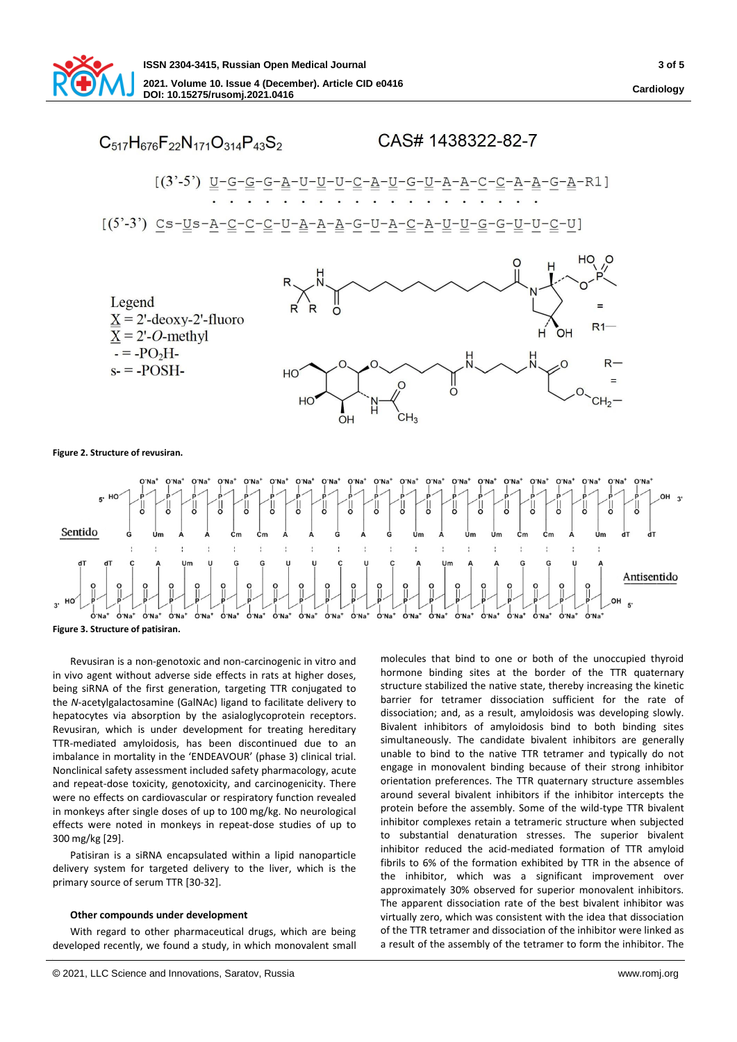



**Figure 3. Structure of patisiran.**

Revusiran is a non-genotoxic and non-carcinogenic in vitro and in vivo agent without adverse side effects in rats at higher doses, being siRNA of the first generation, targeting TTR conjugated to the *N*-acetylgalactosamine (GalNAc) ligand to facilitate delivery to hepatocytes via absorption by the asialoglycoprotein receptors. Revusiran, which is under development for treating hereditary TTR-mediated amyloidosis, has been discontinued due to an imbalance in mortality in the 'ENDEAVOUR' (phase 3) clinical trial. Nonclinical safety assessment included safety pharmacology, acute and repeat-dose toxicity, genotoxicity, and carcinogenicity. There were no effects on cardiovascular or respiratory function revealed in monkeys after single doses of up to 100 mg/kg. No neurological effects were noted in monkeys in repeat-dose studies of up to 300 mg/kg [29].

Patisiran is a siRNA encapsulated within a lipid nanoparticle delivery system for targeted delivery to the liver, which is the primary source of serum TTR [30-32].

## **Other compounds under development**

With regard to other pharmaceutical drugs, which are being developed recently, we found a study, in which monovalent small

© 2021, LLC Science and Innovations, Saratov, Russia www.romj.org

molecules that bind to one or both of the unoccupied thyroid hormone binding sites at the border of the TTR quaternary structure stabilized the native state, thereby increasing the kinetic barrier for tetramer dissociation sufficient for the rate of dissociation; and, as a result, amyloidosis was developing slowly. Bivalent inhibitors of amyloidosis bind to both binding sites simultaneously. The candidate bivalent inhibitors are generally unable to bind to the native TTR tetramer and typically do not engage in monovalent binding because of their strong inhibitor orientation preferences. The TTR quaternary structure assembles around several bivalent inhibitors if the inhibitor intercepts the protein before the assembly. Some of the wild-type TTR bivalent inhibitor complexes retain a tetrameric structure when subjected to substantial denaturation stresses. The superior bivalent inhibitor reduced the acid-mediated formation of TTR amyloid fibrils to 6% of the formation exhibited by TTR in the absence of the inhibitor, which was a significant improvement over approximately 30% observed for superior monovalent inhibitors. The apparent dissociation rate of the best bivalent inhibitor was virtually zero, which was consistent with the idea that dissociation of the TTR tetramer and dissociation of the inhibitor were linked as a result of the assembly of the tetramer to form the inhibitor. The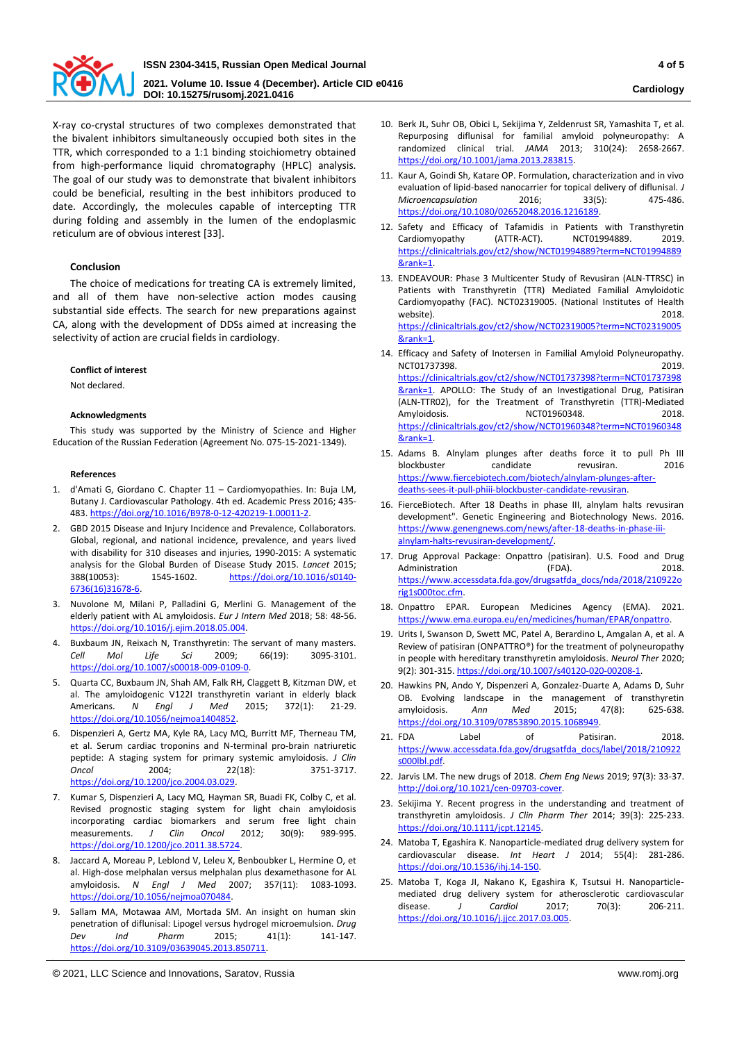

X-ray co-crystal structures of two complexes demonstrated that the bivalent inhibitors simultaneously occupied both sites in the TTR, which corresponded to a 1:1 binding stoichiometry obtained from high-performance liquid chromatography (HPLC) analysis. The goal of our study was to demonstrate that bivalent inhibitors could be beneficial, resulting in the best inhibitors produced to date. Accordingly, the molecules capable of intercepting TTR during folding and assembly in the lumen of the endoplasmic reticulum are of obvious interest [33].

## **Conclusion**

The choice of medications for treating CA is extremely limited, and all of them have non-selective action modes causing substantial side effects. The search for new preparations against CA, along with the development of DDSs aimed at increasing the selectivity of action are crucial fields in cardiology.

#### **Conflict of interest**

Not declared.

#### **Acknowledgments**

This study was supported by the Ministry of Science and Higher Education of the Russian Federation (Agreement No. 075-15-2021-1349).

#### **References**

- 1. d'Amati G, Giordano C. Chapter 11 Cardiomyopathies. In: Buja LM, Butany J. Cardiovascular Pathology. 4th ed. Academic Press 2016; 435- 483. [https://doi.org/10.1016/B978-0-12-420219-1.00011-2.](https://doi.org/10.1016/B978-0-12-420219-1.00011-2)
- 2. GBD 2015 Disease and Injury Incidence and Prevalence, Collaborators. Global, regional, and national incidence, prevalence, and years lived with disability for 310 diseases and injuries, 1990-2015: A systematic analysis for the Global Burden of Disease Study 2015. *Lancet* 2015; 388(10053): 1545-1602. [https://doi.org/10.1016/s0140-](https://doi.org/10.1016/s0140-6736(16)31678-6) [6736\(16\)31678-6.](https://doi.org/10.1016/s0140-6736(16)31678-6)
- 3. Nuvolone M, Milani P, Palladini G, Merlini G. Management of the elderly patient with AL amyloidosis. *Eur J Intern Med* 2018; 58: 48-56. [https://doi.org/10.1016/j.ejim.2018.05.004.](https://doi.org/10.1016/j.ejim.2018.05.004)
- 4. Buxbaum JN, Reixach N, Transthyretin: The servant of many masters. *Cell Mol Life Sci* 2009; 66(19): 3095-3101. [https://doi.org/10.1007/s00018-009-0109-0.](https://doi.org/10.1007/s00018-009-0109-0)
- 5. Quarta CC, Buxbaum JN, Shah AM, Falk RH, Claggett B, Kitzman DW, et al. The amyloidogenic V122I transthyretin variant in elderly black Americans. *N Engl J Med* 2015; 372(1): 21-29. [https://doi.org/10.1056/nejmoa1404852.](https://doi.org/10.1056/nejmoa1404852)
- 6. Dispenzieri A, Gertz MA, Kyle RA, Lacy MQ, Burritt MF, Therneau TM, et al. Serum cardiac troponins and N-terminal pro-brain natriuretic peptide: A staging system for primary systemic amyloidosis. *J Clin Oncol* 2004; 22(18): 3751-3717. [https://doi.org/10.1200/jco.2004.03.029.](https://doi.org/10.1200/jco.2004.03.029)
- 7. Kumar S, Dispenzieri A, Lacy MQ, Hayman SR, Buadi FK, Colby C, et al. Revised prognostic staging system for light chain amyloidosis incorporating cardiac biomarkers and serum free light chain measurements. *J Clin Oncol* 2012; 30(9): 989-995. [https://doi.org/10.1200/jco.2011.38.5724.](https://doi.org/10.1200/jco.2011.38.5724)
- 8. Jaccard A, Moreau P, Leblond V, Leleu X, Benboubker L, Hermine O, et al. High-dose melphalan versus melphalan plus dexamethasone for AL amyloidosis. *N Engl J Med* 2007; 357(11): 1083-1093. [https://doi.org/10.1056/nejmoa070484.](https://doi.org/10.1056/nejmoa070484)
- 9. Sallam MA, Motawaa AM, Mortada SM. An insight on human skin penetration of diflunisal: Lipogel versus hydrogel microemulsion. *Drug Dev Ind Pharm* 2015; 41(1): 141-147. [https://doi.org/10.3109/03639045.2013.850711.](https://doi.org/10.3109/03639045.2013.850711)
- © 2021, LLC Science and Innovations, Saratov, Russia www.romj.org
- 10. Berk JL, Suhr OB, Obici L, Sekijima Y, Zeldenrust SR, Yamashita T, et al. Repurposing diflunisal for familial amyloid polyneuropathy: A randomized clinical trial. *JAMA* 2013; 310(24): 2658-2667. [https://doi.org/10.1001/jama.2013.283815.](https://doi.org/10.1001/jama.2013.283815)
- 11. Kaur A, Goindi Sh, Katare OP. Formulation, characterization and in vivo evaluation of lipid-based nanocarrier for topical delivery of diflunisal. *J Microencapsulation* 2016; 33(5): 475-486. [https://doi.org/10.1080/02652048.2016.1216189.](https://doi.org/10.1080/02652048.2016.1216189)
- 12. Safety and Efficacy of Tafamidis in Patients with Transthyretin Cardiomyopathy (ATTR-ACT). NCT01994889. 2019. [https://clinicaltrials.gov/ct2/show/NCT01994889?term=NCT01994889](https://clinicaltrials.gov/ct2/show/NCT01994889?term=NCT01994889&rank=1) [&rank=1.](https://clinicaltrials.gov/ct2/show/NCT01994889?term=NCT01994889&rank=1)
- 13. ENDEAVOUR: Phase 3 Multicenter Study of Revusiran (ALN-TTRSC) in Patients with Transthyretin (TTR) Mediated Familial Amyloidotic Cardiomyopathy (FAC). NCT02319005. (National Institutes of Health website). 2018. [https://clinicaltrials.gov/ct2/show/NCT02319005?term=NCT02319005](https://clinicaltrials.gov/ct2/show/NCT02319005?term=NCT02319005&rank=1) [&rank=1.](https://clinicaltrials.gov/ct2/show/NCT02319005?term=NCT02319005&rank=1)
- 14. Efficacy and Safety of Inotersen in Familial Amyloid Polyneuropathy. NCT01737398. 2019. [https://clinicaltrials.gov/ct2/show/NCT01737398?term=NCT01737398](https://clinicaltrials.gov/ct2/show/NCT01737398?term=NCT01737398&rank=1) **[&rank=1.](https://clinicaltrials.gov/ct2/show/NCT01737398?term=NCT01737398&rank=1)** APOLLO: The Study of an Investigational Drug, Patisiran (ALN-TTR02), for the Treatment of Transthyretin (TTR)-Mediated Amyloidosis. NCT01960348. 2018. [https://clinicaltrials.gov/ct2/show/NCT01960348?term=NCT01960348](https://clinicaltrials.gov/ct2/show/NCT01960348?term=NCT01960348&rank=1) [&rank=1.](https://clinicaltrials.gov/ct2/show/NCT01960348?term=NCT01960348&rank=1)
- 15. Adams B. Alnylam plunges after deaths force it to pull Ph III blockbuster candidate revusiran. 2016 [https://www.fiercebiotech.com/biotech/alnylam-plunges-after](https://www.fiercebiotech.com/biotech/alnylam-plunges-after-deaths-sees-it-pull-phiii-blockbuster-candidate-revusiran)[deaths-sees-it-pull-phiii-blockbuster-candidate-revusiran.](https://www.fiercebiotech.com/biotech/alnylam-plunges-after-deaths-sees-it-pull-phiii-blockbuster-candidate-revusiran)
- 16. FierceBiotech. After 18 Deaths in phase III, alnylam halts revusiran development". Genetic Engineering and Biotechnology News. 2016. [https://www.genengnews.com/news/after-18-deaths-in-phase-iii](https://www.genengnews.com/news/after-18-deaths-in-phase-iii-alnylam-halts-revusiran-development/)[alnylam-halts-revusiran-development/.](https://www.genengnews.com/news/after-18-deaths-in-phase-iii-alnylam-halts-revusiran-development/)
- 17. Drug Approval Package: Onpattro (patisiran). U.S. Food and Drug Administration (FDA). [https://www.accessdata.fda.gov/drugsatfda\\_docs/nda/2018/210922o](https://www.accessdata.fda.gov/drugsatfda_docs/nda/2018/210922orig1s000toc.cfm) [rig1s000toc.cfm.](https://www.accessdata.fda.gov/drugsatfda_docs/nda/2018/210922orig1s000toc.cfm)
- 18. Onpattro EPAR. European Medicines Agency (EMA). 2021. [https://www.ema.europa.eu/en/medicines/human/EPAR/onpattro.](https://www.ema.europa.eu/en/medicines/human/EPAR/onpattro)
- 19. Urits I, Swanson D, Swett MC, Patel A, Berardino L, Amgalan A, et al. A Review of patisiran (ONPATTRO®) for the treatment of polyneuropathy in people with hereditary transthyretin amyloidosis. *Neurol Ther* 2020; 9(2): 301-315[. https://doi.org/10.1007/s40120-020-00208-1.](https://doi.org/10.1007/s40120-020-00208-1)
- 20. Hawkins PN, Ando Y, Dispenzeri A, Gonzalez-Duarte A, Adams D, Suhr OB. Evolving landscape in the management of transthyretin amyloidosis. *Ann Med* 2015; 47(8): 625-638. [https://doi.org/10.3109/07853890.2015.1068949.](https://doi.org/10.3109/07853890.2015.1068949)
- 21. FDA Label of Patisiran. 2018. [https://www.accessdata.fda.gov/drugsatfda\\_docs/label/2018/210922](https://www.accessdata.fda.gov/drugsatfda_docs/label/2018/210922s000lbl.pdf) [s000lbl.pdf.](https://www.accessdata.fda.gov/drugsatfda_docs/label/2018/210922s000lbl.pdf)
- 22. Jarvis LM. The new drugs of 2018. *Chem Eng News* 2019; 97(3): 33-37. [http://doi.org/10.1021/cen-09703-cover.](http://doi.org/10.1021/cen-09703-cover)
- 23. Sekijima Y. Recent progress in the understanding and treatment of transthyretin amyloidosis. *J Clin Pharm Ther* 2014; 39(3): 225-233. [https://doi.org/10.1111/jcpt.12145.](https://doi.org/10.1111/jcpt.12145)
- 24. Matoba T, Egashira K. Nanoparticle-mediated drug delivery system for cardiovascular disease. *Int Heart J* 2014; 55(4): 281-286. [https://doi.org/10.1536/ihj.14-150.](https://doi.org/10.1536/ihj.14-150)
- 25. Matoba T, Koga JI, Nakano K, Egashira K, Tsutsui H. Nanoparticlemediated drug delivery system for atherosclerotic cardiovascular disease. *J Cardiol* 2017; 70(3): 206-211. [https://doi.org/10.1016/j.jjcc.2017.03.005.](https://doi.org/10.1016/j.jjcc.2017.03.005)